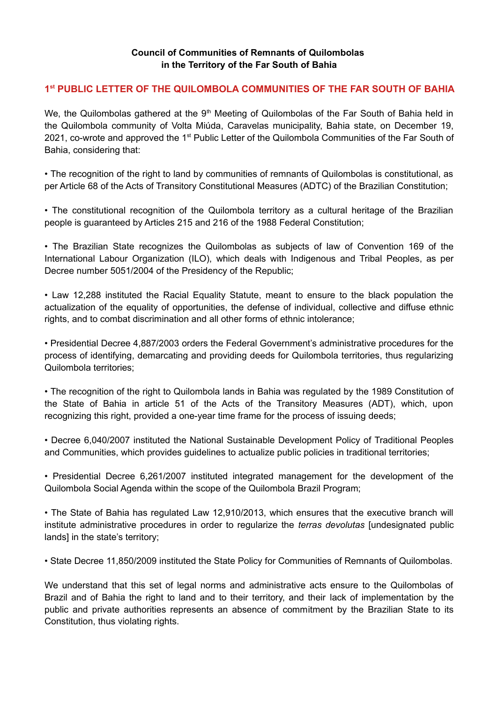## **Council of Communities of Remnants of Quilombolas in the Territory of the Far South of Bahia**

## **1 st PUBLIC LETTER OF THE QUILOMBOLA COMMUNITIES OF THE FAR SOUTH OF BAHIA**

We, the Quilombolas gathered at the 9<sup>th</sup> Meeting of Quilombolas of the Far South of Bahia held in the Quilombola community of Volta Miúda, Caravelas municipality, Bahia state, on December 19, 2021, co-wrote and approved the 1<sup>st</sup> Public Letter of the Quilombola Communities of the Far South of Bahia, considering that:

• The recognition of the right to land by communities of remnants of Quilombolas is constitutional, as per Article 68 of the Acts of Transitory Constitutional Measures (ADTC) of the Brazilian Constitution;

• The constitutional recognition of the Quilombola territory as a cultural heritage of the Brazilian people is guaranteed by Articles 215 and 216 of the 1988 Federal Constitution;

• The Brazilian State recognizes the Quilombolas as subjects of law of Convention 169 of the International Labour Organization (ILO), which deals with Indigenous and Tribal Peoples, as per Decree number 5051/2004 of the Presidency of the Republic;

• Law 12,288 instituted the Racial Equality Statute, meant to ensure to the black population the actualization of the equality of opportunities, the defense of individual, collective and diffuse ethnic rights, and to combat discrimination and all other forms of ethnic intolerance;

• Presidential Decree 4,887/2003 orders the Federal Government's administrative procedures for the process of identifying, demarcating and providing deeds for Quilombola territories, thus regularizing Quilombola territories;

• The recognition of the right to Quilombola lands in Bahia was regulated by the 1989 Constitution of the State of Bahia in article 51 of the Acts of the Transitory Measures (ADT), which, upon recognizing this right, provided a one-year time frame for the process of issuing deeds;

• Decree 6,040/2007 instituted the National Sustainable Development Policy of Traditional Peoples and Communities, which provides guidelines to actualize public policies in traditional territories;

• Presidential Decree 6,261/2007 instituted integrated management for the development of the Quilombola Social Agenda within the scope of the Quilombola Brazil Program;

• The State of Bahia has regulated Law 12,910/2013, which ensures that the executive branch will institute administrative procedures in order to regularize the *terras devolutas* [undesignated public lands] in the state's territory;

• State Decree 11,850/2009 instituted the State Policy for Communities of Remnants of Quilombolas.

We understand that this set of legal norms and administrative acts ensure to the Quilombolas of Brazil and of Bahia the right to land and to their territory, and their lack of implementation by the public and private authorities represents an absence of commitment by the Brazilian State to its Constitution, thus violating rights.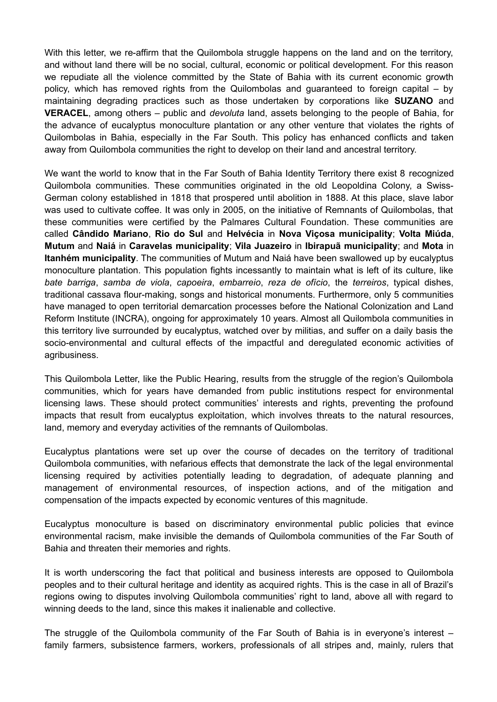With this letter, we re-affirm that the Quilombola struggle happens on the land and on the territory, and without land there will be no social, cultural, economic or political development. For this reason we repudiate all the violence committed by the State of Bahia with its current economic growth policy, which has removed rights from the Quilombolas and guaranteed to foreign capital – by maintaining degrading practices such as those undertaken by corporations like **SUZANO** and **VERACEL**, among others – public and *devoluta* land, assets belonging to the people of Bahia, for the advance of eucalyptus monoculture plantation or any other venture that violates the rights of Quilombolas in Bahia, especially in the Far South. This policy has enhanced conflicts and taken away from Quilombola communities the right to develop on their land and ancestral territory.

We want the world to know that in the Far South of Bahia Identity Territory there exist 8 recognized Quilombola communities. These communities originated in the old Leopoldina Colony, a Swiss-German colony established in 1818 that prospered until abolition in 1888. At this place, slave labor was used to cultivate coffee. It was only in 2005, on the initiative of Remnants of Quilombolas, that these communities were certified by the Palmares Cultural Foundation. These communities are called **Cândido Mariano**, **Rio do Sul** and **Helvécia** in **Nova Viçosa municipality**; **Volta Miúda**, **Mutum** and **Naiá** in **Caravelas municipality**; **Vila Juazeiro** in **Ibirapuã municipality**; and **Mota** in **Itanhém municipality**. The communities of Mutum and Naiá have been swallowed up by eucalyptus monoculture plantation. This population fights incessantly to maintain what is left of its culture, like *bate barriga*, *samba de viola*, *capoeira*, *embarreio*, *reza de ofício*, the *terreiros*, typical dishes, traditional cassava flour-making, songs and historical monuments. Furthermore, only 5 communities have managed to open territorial demarcation processes before the National Colonization and Land Reform Institute (INCRA), ongoing for approximately 10 years. Almost all Quilombola communities in this territory live surrounded by eucalyptus, watched over by militias, and suffer on a daily basis the socio-environmental and cultural effects of the impactful and deregulated economic activities of agribusiness.

This Quilombola Letter, like the Public Hearing, results from the struggle of the region's Quilombola communities, which for years have demanded from public institutions respect for environmental licensing laws. These should protect communities' interests and rights, preventing the profound impacts that result from eucalyptus exploitation, which involves threats to the natural resources, land, memory and everyday activities of the remnants of Quilombolas.

Eucalyptus plantations were set up over the course of decades on the territory of traditional Quilombola communities, with nefarious effects that demonstrate the lack of the legal environmental licensing required by activities potentially leading to degradation, of adequate planning and management of environmental resources, of inspection actions, and of the mitigation and compensation of the impacts expected by economic ventures of this magnitude.

Eucalyptus monoculture is based on discriminatory environmental public policies that evince environmental racism, make invisible the demands of Quilombola communities of the Far South of Bahia and threaten their memories and rights.

It is worth underscoring the fact that political and business interests are opposed to Quilombola peoples and to their cultural heritage and identity as acquired rights. This is the case in all of Brazil's regions owing to disputes involving Quilombola communities' right to land, above all with regard to winning deeds to the land, since this makes it inalienable and collective.

The struggle of the Quilombola community of the Far South of Bahia is in everyone's interest – family farmers, subsistence farmers, workers, professionals of all stripes and, mainly, rulers that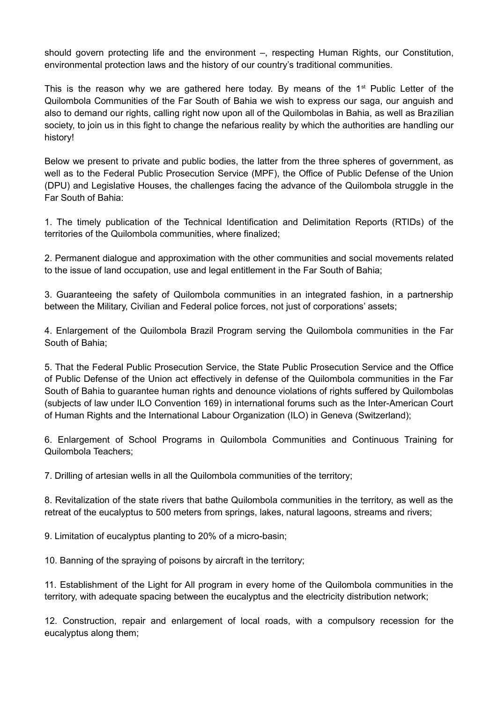should govern protecting life and the environment –, respecting Human Rights, our Constitution, environmental protection laws and the history of our country's traditional communities.

This is the reason why we are gathered here today. By means of the  $1<sup>st</sup>$  Public Letter of the Quilombola Communities of the Far South of Bahia we wish to express our saga, our anguish and also to demand our rights, calling right now upon all of the Quilombolas in Bahia, as well as Brazilian society, to join us in this fight to change the nefarious reality by which the authorities are handling our history!

Below we present to private and public bodies, the latter from the three spheres of government, as well as to the Federal Public Prosecution Service (MPF), the Office of Public Defense of the Union (DPU) and Legislative Houses, the challenges facing the advance of the Quilombola struggle in the Far South of Bahia:

1. The timely publication of the Technical Identification and Delimitation Reports (RTIDs) of the territories of the Quilombola communities, where finalized;

2. Permanent dialogue and approximation with the other communities and social movements related to the issue of land occupation, use and legal entitlement in the Far South of Bahia;

3. Guaranteeing the safety of Quilombola communities in an integrated fashion, in a partnership between the Military, Civilian and Federal police forces, not just of corporations' assets;

4. Enlargement of the Quilombola Brazil Program serving the Quilombola communities in the Far South of Bahia;

5. That the Federal Public Prosecution Service, the State Public Prosecution Service and the Office of Public Defense of the Union act effectively in defense of the Quilombola communities in the Far South of Bahia to guarantee human rights and denounce violations of rights suffered by Quilombolas (subjects of law under ILO Convention 169) in international forums such as the Inter-American Court of Human Rights and the International Labour Organization (ILO) in Geneva (Switzerland);

6. Enlargement of School Programs in Quilombola Communities and Continuous Training for Quilombola Teachers;

7. Drilling of artesian wells in all the Quilombola communities of the territory;

8. Revitalization of the state rivers that bathe Quilombola communities in the territory, as well as the retreat of the eucalyptus to 500 meters from springs, lakes, natural lagoons, streams and rivers;

9. Limitation of eucalyptus planting to 20% of a micro-basin;

10. Banning of the spraying of poisons by aircraft in the territory;

11. Establishment of the Light for All program in every home of the Quilombola communities in the territory, with adequate spacing between the eucalyptus and the electricity distribution network;

12. Construction, repair and enlargement of local roads, with a compulsory recession for the eucalyptus along them;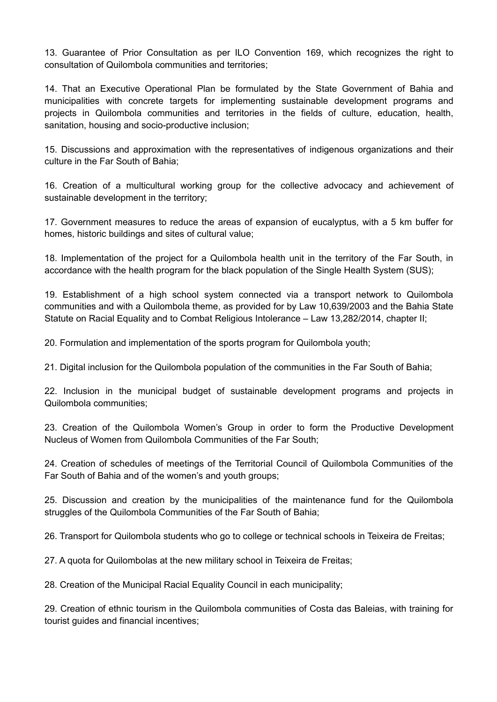13. Guarantee of Prior Consultation as per ILO Convention 169, which recognizes the right to consultation of Quilombola communities and territories;

14. That an Executive Operational Plan be formulated by the State Government of Bahia and municipalities with concrete targets for implementing sustainable development programs and projects in Quilombola communities and territories in the fields of culture, education, health, sanitation, housing and socio-productive inclusion;

15. Discussions and approximation with the representatives of indigenous organizations and their culture in the Far South of Bahia;

16. Creation of a multicultural working group for the collective advocacy and achievement of sustainable development in the territory;

17. Government measures to reduce the areas of expansion of eucalyptus, with a 5 km buffer for homes, historic buildings and sites of cultural value;

18. Implementation of the project for a Quilombola health unit in the territory of the Far South, in accordance with the health program for the black population of the Single Health System (SUS);

19. Establishment of a high school system connected via a transport network to Quilombola communities and with a Quilombola theme, as provided for by Law 10,639/2003 and the Bahia State Statute on Racial Equality and to Combat Religious Intolerance – Law 13,282/2014, chapter II;

20. Formulation and implementation of the sports program for Quilombola youth;

21. Digital inclusion for the Quilombola population of the communities in the Far South of Bahia;

22. Inclusion in the municipal budget of sustainable development programs and projects in Quilombola communities;

23. Creation of the Quilombola Women's Group in order to form the Productive Development Nucleus of Women from Quilombola Communities of the Far South;

24. Creation of schedules of meetings of the Territorial Council of Quilombola Communities of the Far South of Bahia and of the women's and youth groups;

25. Discussion and creation by the municipalities of the maintenance fund for the Quilombola struggles of the Quilombola Communities of the Far South of Bahia:

26. Transport for Quilombola students who go to college or technical schools in Teixeira de Freitas;

27. A quota for Quilombolas at the new military school in Teixeira de Freitas;

28. Creation of the Municipal Racial Equality Council in each municipality;

29. Creation of ethnic tourism in the Quilombola communities of Costa das Baleias, with training for tourist guides and financial incentives;